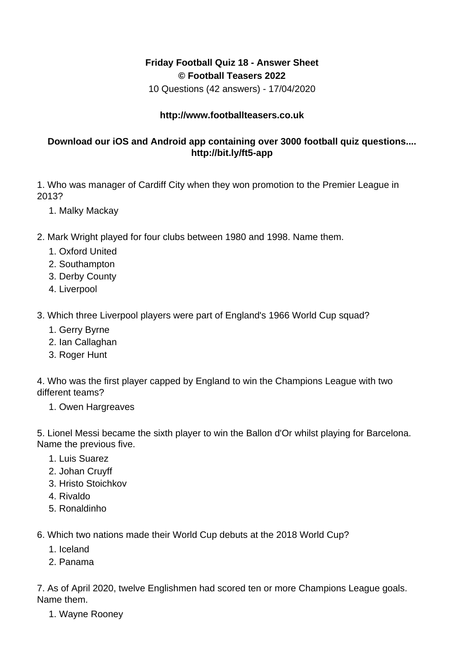## **Friday Football Quiz 18 - Answer Sheet © Football Teasers 2022**

10 Questions (42 answers) - 17/04/2020

## **http://www.footballteasers.co.uk**

## **Download our iOS and Android app containing over 3000 football quiz questions.... http://bit.ly/ft5-app**

1. Who was manager of Cardiff City when they won promotion to the Premier League in 2013?

- 1. Malky Mackay
- 2. Mark Wright played for four clubs between 1980 and 1998. Name them.
	- 1. Oxford United
	- 2. Southampton
	- 3. Derby County
	- 4. Liverpool
- 3. Which three Liverpool players were part of England's 1966 World Cup squad?
	- 1. Gerry Byrne
	- 2. Ian Callaghan
	- 3. Roger Hunt

4. Who was the first player capped by England to win the Champions League with two different teams?

1. Owen Hargreaves

5. Lionel Messi became the sixth player to win the Ballon d'Or whilst playing for Barcelona. Name the previous five.

- 1. Luis Suarez
- 2. Johan Cruyff
- 3. Hristo Stoichkov
- 4. Rivaldo
- 5. Ronaldinho

6. Which two nations made their World Cup debuts at the 2018 World Cup?

- 1. Iceland
- 2. Panama

7. As of April 2020, twelve Englishmen had scored ten or more Champions League goals. Name them.

1. Wayne Rooney